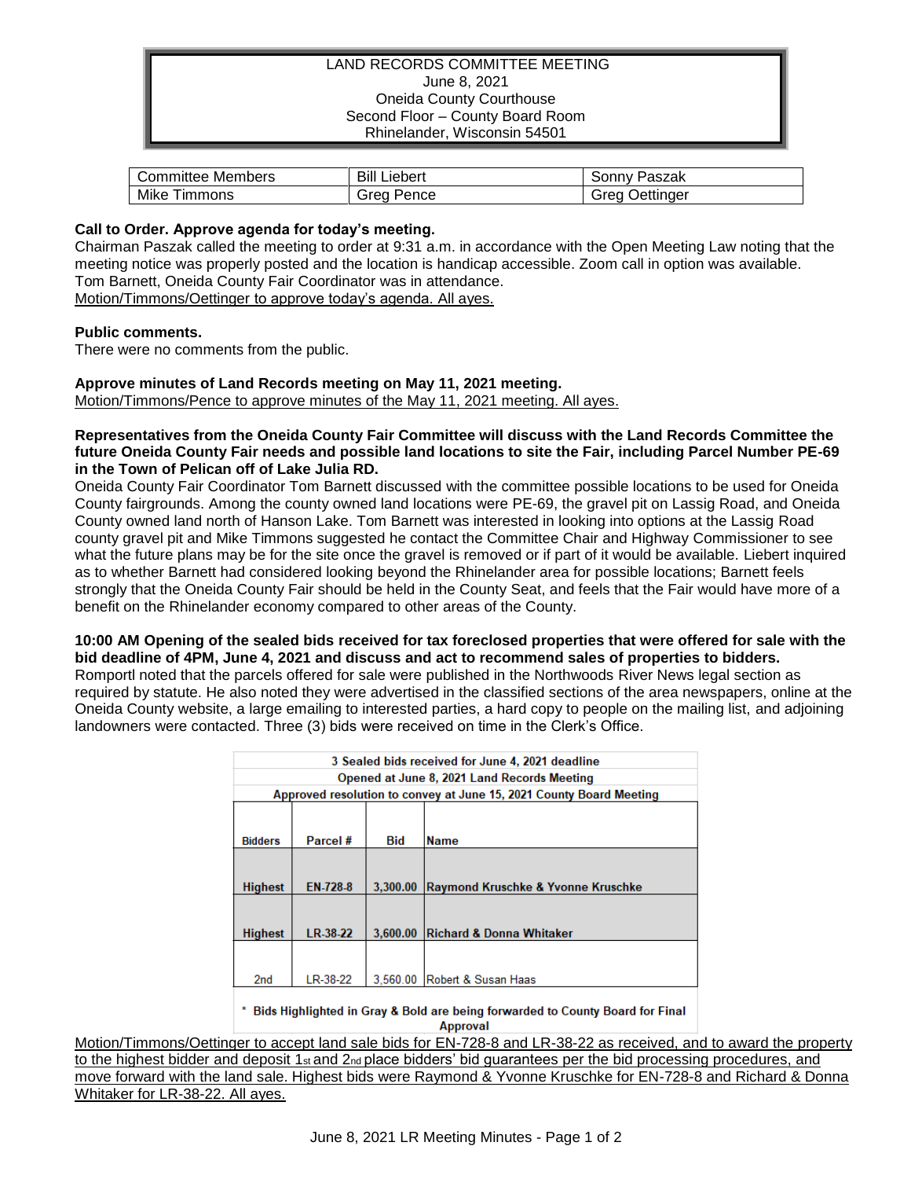## LAND RECORDS COMMITTEE MEETING June 8, 2021 Oneida County Courthouse Second Floor – County Board Room Rhinelander, Wisconsin 54501

| Members     | Bill    | Paszak           |
|-------------|---------|------------------|
| ∪ommittee " | Liebert | ،onnvٽ           |
| Mike        | Grea    | <b>Jettinger</b> |
| immons      | Pence   | <b>Grea</b>      |

### **Call to Order. Approve agenda for today's meeting.**

Chairman Paszak called the meeting to order at 9:31 a.m. in accordance with the Open Meeting Law noting that the meeting notice was properly posted and the location is handicap accessible. Zoom call in option was available. Tom Barnett, Oneida County Fair Coordinator was in attendance.

Motion/Timmons/Oettinger to approve today's agenda. All ayes.

#### **Public comments.**

There were no comments from the public.

# **Approve minutes of Land Records meeting on May 11, 2021 meeting.**

Motion/Timmons/Pence to approve minutes of the May 11, 2021 meeting. All ayes.

**Representatives from the Oneida County Fair Committee will discuss with the Land Records Committee the future Oneida County Fair needs and possible land locations to site the Fair, including Parcel Number PE-69 in the Town of Pelican off of Lake Julia RD.**

Oneida County Fair Coordinator Tom Barnett discussed with the committee possible locations to be used for Oneida County fairgrounds. Among the county owned land locations were PE-69, the gravel pit on Lassig Road, and Oneida County owned land north of Hanson Lake. Tom Barnett was interested in looking into options at the Lassig Road county gravel pit and Mike Timmons suggested he contact the Committee Chair and Highway Commissioner to see what the future plans may be for the site once the gravel is removed or if part of it would be available. Liebert inquired as to whether Barnett had considered looking beyond the Rhinelander area for possible locations; Barnett feels strongly that the Oneida County Fair should be held in the County Seat, and feels that the Fair would have more of a benefit on the Rhinelander economy compared to other areas of the County.

**10:00 AM Opening of the sealed bids received for tax foreclosed properties that were offered for sale with the bid deadline of 4PM, June 4, 2021 and discuss and act to recommend sales of properties to bidders.** Romportl noted that the parcels offered for sale were published in the Northwoods River News legal section as required by statute. He also noted they were advertised in the classified sections of the area newspapers, online at the Oneida County website, a large emailing to interested parties, a hard copy to people on the mailing list, and adjoining landowners were contacted. Three (3) bids were received on time in the Clerk's Office.

| 3 Sealed bids received for June 4, 2021 deadline                    |          |            |                                     |  |
|---------------------------------------------------------------------|----------|------------|-------------------------------------|--|
| Opened at June 8, 2021 Land Records Meeting                         |          |            |                                     |  |
| Approved resolution to convey at June 15, 2021 County Board Meeting |          |            |                                     |  |
|                                                                     |          |            |                                     |  |
| <b>Bidders</b>                                                      | Parcel # | <b>Bid</b> | <b>Name</b>                         |  |
|                                                                     |          |            |                                     |  |
| <b>Highest</b>                                                      | EN-728-8 | 3,300,00   | Raymond Kruschke & Yvonne Kruschke  |  |
|                                                                     |          |            |                                     |  |
| <b>Highest</b>                                                      | LR-38-22 | 3,600.00   | <b>Richard &amp; Donna Whitaker</b> |  |
|                                                                     |          |            |                                     |  |
| 2 <sub>nd</sub>                                                     | LR-38-22 | 3.560.00   | Robert & Susan Haas                 |  |
|                                                                     |          |            |                                     |  |

\* Bids Highlighted in Gray & Bold are being forwarded to County Board for Final **Approval** 

Motion/Timmons/Oettinger to accept land sale bids for EN-728-8 and LR-38-22 as received, and to award the property to the highest bidder and deposit 1st and 2<sub>nd</sub> place bidders' bid guarantees per the bid processing procedures, and move forward with the land sale. Highest bids were Raymond & Yvonne Kruschke for EN-728-8 and Richard & Donna Whitaker for LR-38-22. All ayes.